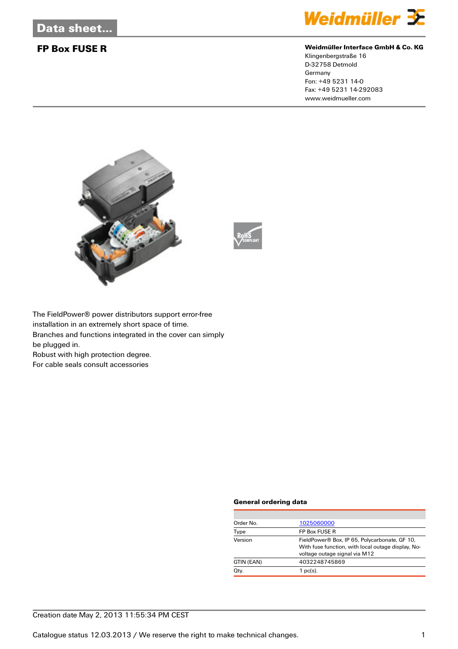

### **FP Box FUSE R Weidmüller Interface GmbH & Co. KG**

Klingenbergstraße 16 D-32758 Detmold Germany Fon: +49 5231 14-0 Fax: +49 5231 14-292083 www.weidmueller.com





The FieldPower® power distributors support error-free installation in an extremely short space of time. Branches and functions integrated in the cover can simply be plugged in.

Robust with high protection degree.

For cable seals consult accessories

#### **General ordering data**

| Order No.  | 1025060000                                                                                          |
|------------|-----------------------------------------------------------------------------------------------------|
| Type       | FP Box FUSE R                                                                                       |
| Version    | FieldPower® Box, IP 65, Polycarbonate, GF 10,<br>With fuse function, with local outage display, No- |
|            | voltage outage signal via M12                                                                       |
| GTIN (EAN) | 4032248745869                                                                                       |
| Qty.       | 1 $pc(s)$ .                                                                                         |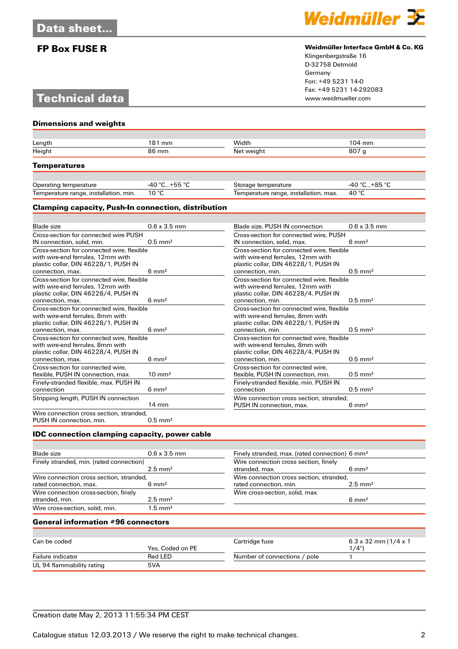# **Technical data**

**Dimensions and weights**



### **FP Box FUSE R Weidmüller Interface GmbH & Co. KG**

Klingenbergstraße 16 D-32758 Detmold Germany Fon: +49 5231 14-0 Fax: +49 5231 14-292083

| Length                                | 181 mm         | Width                                 | $104 \text{ mm}$ |  |
|---------------------------------------|----------------|---------------------------------------|------------------|--|
| Height<br>86 mm                       |                | Net weight                            | 807 <sub>g</sub> |  |
| <b>Temperatures</b>                   |                |                                       |                  |  |
| Operating temperature                 | -40 °C+55 °C   | Storage temperature                   | -40 °C+85 °C     |  |
| Temperature range, installation, min. | $10^{\circ}$ C | Temperature range, installation, max. | 40 °C            |  |

#### **Clamping capacity, Push-In connection, distribution**

| <b>Blade</b> size                          | $0.6 \times 3.5$ mm   | Blade size, PUSH IN connection             | $0.6 \times 3.5$ mm   |  |
|--------------------------------------------|-----------------------|--------------------------------------------|-----------------------|--|
| Cross-section for connected wire PUSH      |                       | Cross-section for connected wire, PUSH     |                       |  |
| IN connection, solid, min.                 | $0.5$ mm <sup>2</sup> | IN connection, solid, max.                 | $6 \text{ mm}^2$      |  |
| Cross-section for connected wire, flexible |                       | Cross-section for connected wire, flexible |                       |  |
| with wire-end ferrules. 12mm with          |                       | with wire-end ferrules. 12mm with          |                       |  |
| plastic collar, DIN 46228/1, PUSH IN       |                       | plastic collar, DIN 46228/1, PUSH IN       |                       |  |
| connection, max.                           | $6 \text{ mm}^2$      | connection, min.                           | $0.5$ mm <sup>2</sup> |  |
| Cross-section for connected wire, flexible |                       | Cross-section for connected wire, flexible |                       |  |
| with wire-end ferrules. 12mm with          |                       | with wire-end ferrules, 12mm with          |                       |  |
| plastic collar, DIN 46228/4, PUSH IN       |                       | plastic collar, DIN 46228/4, PUSH IN       |                       |  |
| connection, max.                           | $6 \text{ mm}^2$      | connection, min.                           | $0.5$ mm <sup>2</sup> |  |
| Cross-section for connected wire, flexible |                       | Cross-section for connected wire, flexible |                       |  |
| with wire-end ferrules, 8mm with           |                       | with wire-end ferrules, 8mm with           |                       |  |
| plastic collar, DIN 46228/1, PUSH IN       |                       | plastic collar, DIN 46228/1, PUSH IN       |                       |  |
| connection, max.                           | $6 \text{ mm}^2$      | connection, min.                           | $0.5$ mm <sup>2</sup> |  |
| Cross-section for connected wire, flexible |                       | Cross-section for connected wire, flexible |                       |  |
| with wire-end ferrules, 8mm with           |                       | with wire-end ferrules, 8mm with           |                       |  |
| plastic collar, DIN 46228/4, PUSH IN       |                       | plastic collar, DIN 46228/4, PUSH IN       |                       |  |
| connection, max.                           | $6 \text{ mm}^2$      | connection, min.                           | $0.5$ mm <sup>2</sup> |  |
| Cross-section for connected wire.          |                       | Cross-section for connected wire.          |                       |  |
| flexible, PUSH IN connection, max.         | $10 \text{ mm}^2$     | flexible, PUSH IN connection, min.         | $0.5$ mm <sup>2</sup> |  |
| Finely-stranded flexible, max. PUSH IN     |                       | Finely-stranded flexible, min. PUSH IN     |                       |  |
| connection                                 | $6 \text{ mm}^2$      | connection                                 | $0.5$ mm <sup>2</sup> |  |
| Stripping length, PUSH IN connection       |                       | Wire connection cross section, stranded,   |                       |  |
|                                            | $14 \text{ mm}$       | PUSH IN connection, max.                   | $6 \text{ mm}^2$      |  |
| Wire connection cross section, stranded.   |                       |                                            |                       |  |
| PUSH IN connection, min.                   | $0.5$ mm <sup>2</sup> |                                            |                       |  |

#### **IDC connection clamping capacity, power cable**

| <b>Blade</b> size                        | $0.6 \times 3.5$ mm | Finely stranded, max. (rated connection) 6 mm <sup>2</sup> |                    |  |
|------------------------------------------|---------------------|------------------------------------------------------------|--------------------|--|
| Finely stranded, min. (rated connection) |                     | Wire connection cross section, finely                      |                    |  |
|                                          | $2.5 \text{ mm}^2$  | stranded, max.                                             | $6 \text{ mm}^2$   |  |
| Wire connection cross section, stranded, |                     | Wire connection cross section, stranded,                   |                    |  |
| rated connection, max.                   | $6 \text{ mm}^2$    | rated connection, min.                                     | $2.5 \text{ mm}^2$ |  |
| Wire connection cross-section, finely    |                     | Wire cross-section, solid, max.                            |                    |  |
| stranded, min.                           | $2.5 \text{ mm}^2$  |                                                            | $6 \text{ mm}^2$   |  |
| Wire cross-section, solid, min.          | $1.5 \text{ mm}^2$  |                                                            |                    |  |

### **General information #96 connectors**

| Can be coded              |                  | Cartridge fuse               | $6.3 \times 32$ mm (1/4 x 1) |
|---------------------------|------------------|------------------------------|------------------------------|
|                           | Yes. Coded on PE |                              | 1/4")                        |
| Failure indicator         | Red LED          | Number of connections / pole |                              |
| UL 94 flammability rating | 5VA              |                              |                              |

## Creation date May 2, 2013 11:55:34 PM CEST